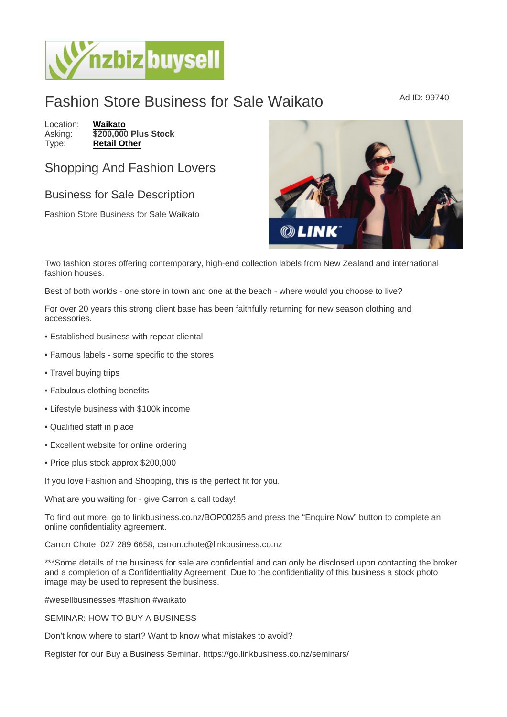## Fashion Store Business for Sale Waikato Ad ID: 99740

Location: [Waikato](https://www.nzbizbuysell.co.nz/businesses-for-sale/location/Waikato) Asking: \$200,000 Plus Stock<br>Type: Retail Other [Retail Other](https://www.nzbizbuysell.co.nz/businesses-for-sale/Retail-Other/New-Zealand)

## Shopping And Fashion Lovers

## Business for Sale Description

Fashion Store Business for Sale Waikato

Two fashion stores offering contemporary, high-end collection labels from New Zealand and international fashion houses.

Best of both worlds - one store in town and one at the beach - where would you choose to live?

For over 20 years this strong client base has been faithfully returning for new season clothing and accessories.

- Established business with repeat cliental
- Famous labels some specific to the stores
- Travel buying trips
- Fabulous clothing benefits
- Lifestyle business with \$100k income
- Qualified staff in place
- Excellent website for online ordering
- Price plus stock approx \$200,000

If you love Fashion and Shopping, this is the perfect fit for you.

What are you waiting for - give Carron a call today!

To find out more, go to linkbusiness.co.nz/BOP00265 and press the "Enquire Now" button to complete an online confidentiality agreement.

Carron Chote, 027 289 6658, carron.chote@linkbusiness.co.nz

\*\*\*Some details of the business for sale are confidential and can only be disclosed upon contacting the broker and a completion of a Confidentiality Agreement. Due to the confidentiality of this business a stock photo image may be used to represent the business.

#wesellbusinesses #fashion #waikato

SEMINAR: HOW TO BUY A BUSINESS

Don't know where to start? Want to know what mistakes to avoid?

Register for our Buy a Business Seminar. https://go.linkbusiness.co.nz/seminars/